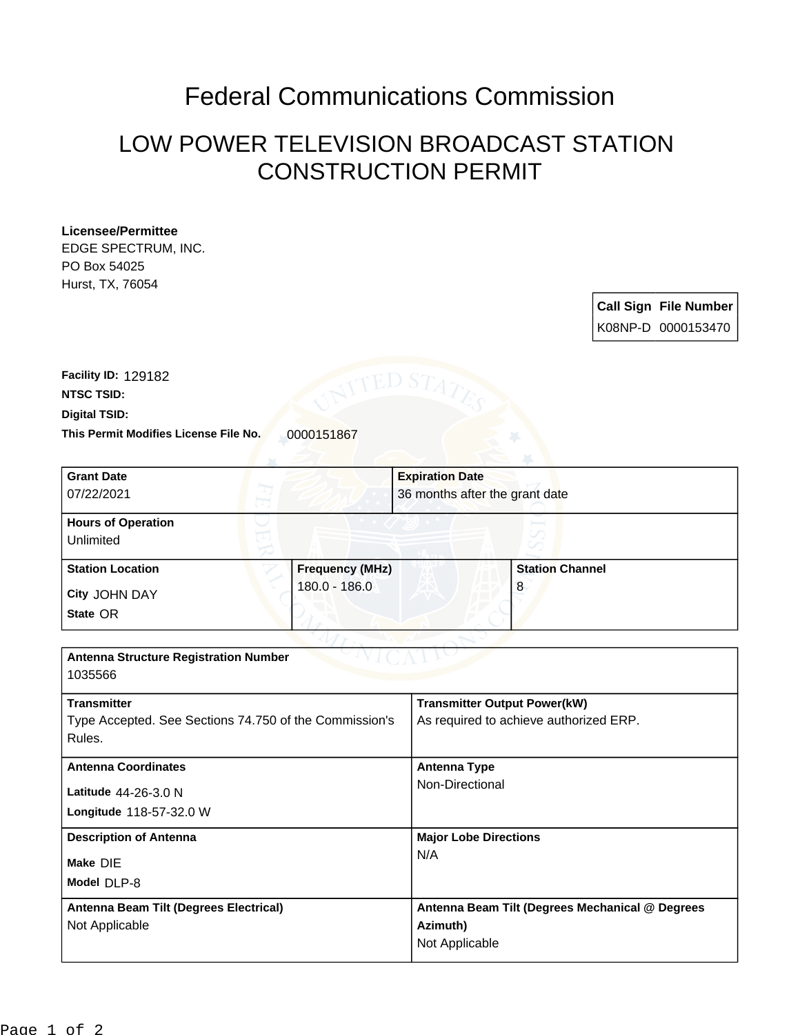## Federal Communications Commission

## LOW POWER TELEVISION BROADCAST STATION CONSTRUCTION PERMIT

## **Licensee/Permittee**

EDGE SPECTRUM, INC. PO Box 54025 Hurst, TX, 76054

> **Call Sign File Number** K08NP-D 0000153470

This Permit Modifies License File No. 0000151867 **Digital TSID: NTSC TSID: Facility ID:** 129182

| <b>Grant Date</b>                                      |                        | <b>Expiration Date</b>                          |  |
|--------------------------------------------------------|------------------------|-------------------------------------------------|--|
| 07/22/2021                                             |                        | 36 months after the grant date                  |  |
| <b>Hours of Operation</b>                              |                        |                                                 |  |
| Unlimited                                              |                        |                                                 |  |
| <b>Station Location</b>                                | <b>Frequency (MHz)</b> | <b>Station Channel</b>                          |  |
| City JOHN DAY                                          | 180.0 - 186.0          | 8                                               |  |
| State OR                                               |                        |                                                 |  |
|                                                        |                        |                                                 |  |
| <b>Antenna Structure Registration Number</b>           |                        |                                                 |  |
| 1035566                                                |                        |                                                 |  |
| <b>Transmitter</b>                                     |                        | <b>Transmitter Output Power(kW)</b>             |  |
| Type Accepted. See Sections 74.750 of the Commission's |                        | As required to achieve authorized ERP.          |  |
| Rules.                                                 |                        |                                                 |  |
| <b>Antenna Coordinates</b>                             |                        | <b>Antenna Type</b>                             |  |
| Latitude 44-26-3.0 N                                   |                        | Non-Directional                                 |  |
| Longitude 118-57-32.0 W                                |                        |                                                 |  |
| <b>Description of Antenna</b>                          |                        | <b>Major Lobe Directions</b>                    |  |
| Make DIE                                               |                        | N/A                                             |  |
| Model DLP-8                                            |                        |                                                 |  |
| Antenna Beam Tilt (Degrees Electrical)                 |                        | Antenna Beam Tilt (Degrees Mechanical @ Degrees |  |
| Not Applicable                                         |                        | Azimuth)                                        |  |
|                                                        |                        | Not Applicable                                  |  |
|                                                        |                        |                                                 |  |